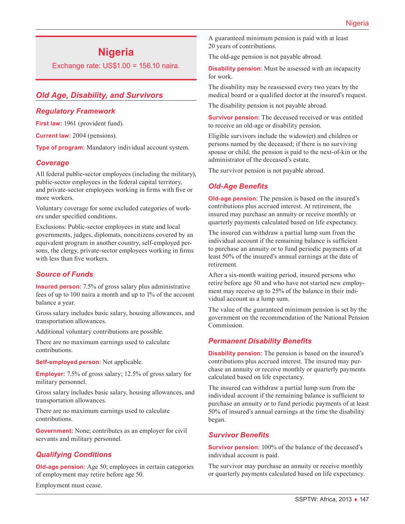# **Nigeria**

Exchange rate: US\$1.00 = 156.10 naira.

# *Old Age, Disability, and Survivors*

#### *Regulatory Framework*

First law: 1961 (provident fund).

**Current law:** 2004 (pensions).

**Type of program:** Mandatory individual account system.

## *Coverage*

All federal public-sector employees (including the military), public-sector employees in the federal capital territory, and private-sector employees working in firms with five or more workers.

Voluntary coverage for some excluded categories of workers under specified conditions.

Exclusions: Public-sector employees in state and local governments, judges, diplomats, noncitizens covered by an equivalent program in another country, self-employed persons, the clergy, private-sector employees working in firms with less than five workers.

# *Source of Funds*

**Insured person:** 7.5% of gross salary plus administrative fees of up to 100 naira a month and up to 1% of the account balance a year.

Gross salary includes basic salary, housing allowances, and transportation allowances.

Additional voluntary contributions are possible.

There are no maximum earnings used to calculate contributions.

**Self-employed person:** Not applicable.

**Employer:** 7.5% of gross salary; 12.5% of gross salary for military personnel.

Gross salary includes basic salary, housing allowances, and transportation allowances.

There are no maximum earnings used to calculate contributions.

**Government:** None; contributes as an employer for civil servants and military personnel.

# *Qualifying Conditions*

**Old-age pension:** Age 50; employees in certain categories of employment may retire before age 50.

Employment must cease.

A guaranteed minimum pension is paid with at least 20 years of contributions.

The old-age pension is not payable abroad.

**Disability pension:** Must be assessed with an incapacity for work.

The disability may be reassessed every two years by the medical board or a qualified doctor at the insured's request.

The disability pension is not payable abroad.

**Survivor pension:** The deceased received or was entitled to receive an old-age or disability pension.

Eligible survivors include the widow(er) and children or persons named by the deceased; if there is no surviving spouse or child, the pension is paid to the next-of-kin or the administrator of the deceased's estate.

The survivor pension is not payable abroad.

## *Old-Age Benefits*

**Old-age pension:** The pension is based on the insured's contributions plus accrued interest. At retirement, the insured may purchase an annuity or receive monthly or quarterly payments calculated based on life expectancy.

The insured can withdraw a partial lump sum from the individual account if the remaining balance is sufficient to purchase an annuity or to fund periodic payments of at least 50% of the insured's annual earnings at the date of retirement.

After a six-month waiting period, insured persons who retire before age 50 and who have not started new employment may receive up to 25% of the balance in their individual account as a lump sum.

The value of the guaranteed minimum pension is set by the government on the recommendation of the National Pension Commission.

# *Permanent Disability Benefits*

**Disability pension:** The pension is based on the insured's contributions plus accrued interest. The insured may purchase an annuity or receive monthly or quarterly payments calculated based on life expectancy.

The insured can withdraw a partial lump sum from the individual account if the remaining balance is sufficient to purchase an annuity or to fund periodic payments of at least 50% of insured's annual earnings at the time the disability began.

#### *Survivor Benefits*

**Survivor pension:** 100% of the balance of the deceased's individual account is paid.

The survivor may purchase an annuity or receive monthly or quarterly payments calculated based on life expectancy.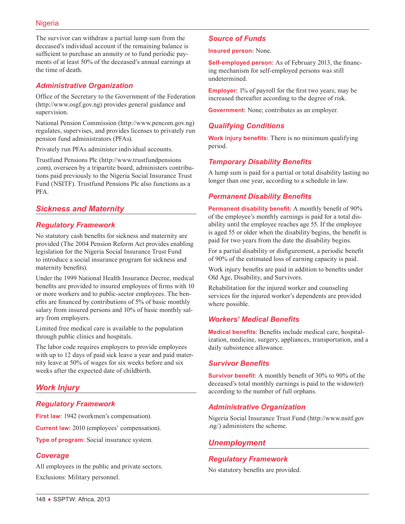The survivor can withdraw a partial lump sum from the deceased's individual account if the remaining balance is sufficient to purchase an annuity or to fund periodic payments of at least 50% of the deceased's annual earnings at the time of death.

## *Administrative Organization*

Office of the Secretary to the Government of the Federation (<http://www.osgf.gov.ng>) provides general guidance and supervision.

National Pension Commission [\(http://www.pencom.gov.ng\)](http://www.pencom.gov.ng) regulates, supervises, and provides licenses to privately run pension fund administrators (PFAs).

Privately run PFAs administer individual accounts.

Trustfund Pensions Plc [\(http://www.trustfundpensions](http://www.trustfundpensions.com) [.com](http://www.trustfundpensions.com)), overseen by a tripartite board, administers contributions paid previously to the Nigeria Social Insurance Trust Fund (NSITF). Trustfund Pensions Plc also functions as a PFA.

# *Sickness and Maternity*

## *Regulatory Framework*

No statutory cash benefits for sickness and maternity are provided (The 2004 Pension Reform Act provides enabling legislation for the Nigeria Social Insurance Trust Fund to introduce a social insurance program for sickness and maternity benefits).

Under the 1999 National Health Insurance Decree, medical benefits are provided to insured employees of firms with 10 or more workers and to public-sector employees. The benefits are financed by contributions of 5% of basic monthly salary from insured persons and 10% of basic monthly salary from employers.

Limited free medical care is available to the population through public clinics and hospitals.

The labor code requires employers to provide employees with up to 12 days of paid sick leave a year and paid maternity leave at 50% of wages for six weeks before and six weeks after the expected date of childbirth.

# *Work Injury*

#### *Regulatory Framework*

**First law:** 1942 (workmen's compensation).

**Current law:** 2010 (employees' compensation).

**Type of program:** Social insurance system.

# *Coverage*

All employees in the public and private sectors. Exclusions: Military personnel.

## *Source of Funds*

**Insured person:** None.

**Self-employed person:** As of February 2013, the financing mechanism for self-employed persons was still undetermined.

**Employer:** 1% of payroll for the first two years; may be increased thereafter according to the degree of risk.

**Government:** None; contributes as an employer.

## *Qualifying Conditions*

**Work injury benefits:** There is no minimum qualifying period.

## *Temporary Disability Benefits*

A lump sum is paid for a partial or total disability lasting no longer than one year, according to a schedule in law.

## *Permanent Disability Benefits*

**Permanent disability benefit:** A monthly benefit of 90% of the employee's monthly earnings is paid for a total disability until the employee reaches age 55. If the employee is aged 55 or older when the disability begins, the benefit is paid for two years from the date the disability begins.

For a partial disability or disfigurement, a periodic benefit of 90% of the estimated loss of earning capacity is paid.

Work injury benefits are paid in addition to benefits under Old Age, Disability, and Survivors.

Rehabilitation for the injured worker and counseling services for the injured worker's dependents are provided where possible.

#### *Workers' Medical Benefits*

**Medical benefits:** Benefits include medical care, hospitalization, medicine, surgery, appliances, transportation, and a daily subsistence allowance.

#### *Survivor Benefits*

**Survivor benefit:** A monthly benefit of 30% to 90% of the deceased's total monthly earnings is paid to the widow(er) according to the number of full orphans.

# *Administrative Organization*

Nigeria Social Insurance Trust Fund ([http://www.nsitf.gov](http://www.nsitf.gov.ng/) [.ng/\)](http://www.nsitf.gov.ng/) administers the scheme.

#### *Unemployment*

#### *Regulatory Framework*

No statutory benefits are provided.